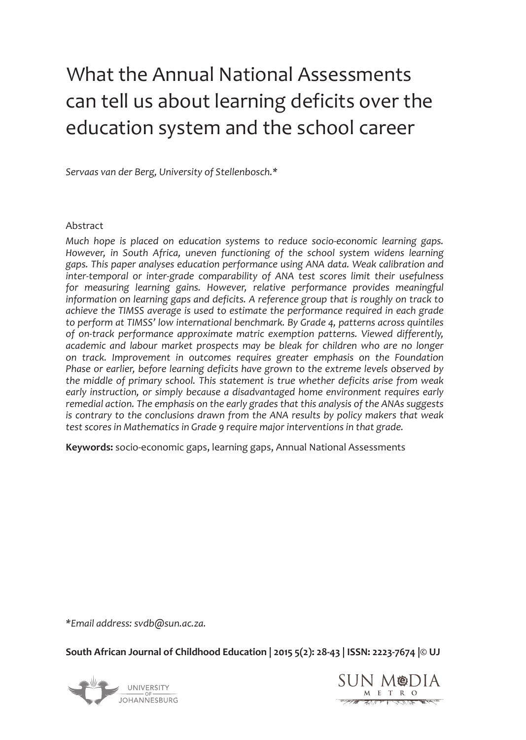# What the Annual National Assessments can tell us about learning deficits over the education system and the school career

*Servaas van der Berg, University of Stellenbosch.\**

#### Abstract

*Much hope is placed on education systems to reduce socio-economic learning gaps. However, in South Africa, uneven functioning of the school system widens learning gaps. This paper analyses education performance using ANA data. Weak calibration and inter-temporal or inter-grade comparability of ANA test scores limit their usefulness*  for measuring learning gains. However, relative performance provides meaningful *information on learning gaps and deficits. A reference group that is roughly on track to achieve the TIMSS average is used to estimate the performance required in each grade to perform at TIMSS' low international benchmark. By Grade 4, patterns across quintiles of on-track performance approximate matric exemption patterns. Viewed differently, academic and labour market prospects may be bleak for children who are no longer on track. Improvement in outcomes requires greater emphasis on the Foundation Phase or earlier, before learning deficits have grown to the extreme levels observed by the middle of primary school. This statement is true whether deficits arise from weak early instruction, or simply because a disadvantaged home environment requires early remedial action. The emphasis on the early grades that this analysis of the ANAs suggests is contrary to the conclusions drawn from the ANA results by policy makers that weak test scores in Mathematics in Grade 9 require major interventions in that grade.*

**Keywords:** socio-economic gaps, learning gaps, Annual National Assessments

*\*Email address: svdb@sun.ac.za.*

**South African Journal of Childhood Education | 2015 5(2): 28-43 | ISSN: 2223-7674 |© UJ**



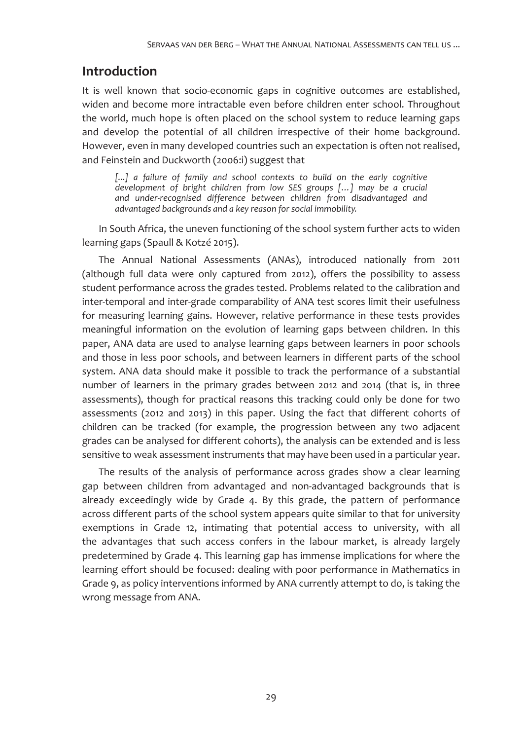## **Introduction**

It is well known that socio-economic gaps in cognitive outcomes are established, widen and become more intractable even before children enter school. Throughout the world, much hope is often placed on the school system to reduce learning gaps and develop the potential of all children irrespective of their home background. However, even in many developed countries such an expectation is often not realised, and Feinstein and Duckworth (2006:i) suggest that

[...] a failure of family and school contexts to build on the early cognitive *development of bright children from low SES groups […] may be a crucial and under-recognised difference between children from disadvantaged and advantaged backgrounds and a key reason for social immobility.* 

In South Africa, the uneven functioning of the school system further acts to widen learning gaps (Spaull & Kotzé 2015).

The Annual National Assessments (ANAs), introduced nationally from 2011 (although full data were only captured from 2012), offers the possibility to assess student performance across the grades tested. Problems related to the calibration and inter-temporal and inter-grade comparability of ANA test scores limit their usefulness for measuring learning gains. However, relative performance in these tests provides meaningful information on the evolution of learning gaps between children. In this paper, ANA data are used to analyse learning gaps between learners in poor schools and those in less poor schools, and between learners in different parts of the school system. ANA data should make it possible to track the performance of a substantial number of learners in the primary grades between 2012 and 2014 (that is, in three assessments), though for practical reasons this tracking could only be done for two assessments (2012 and 2013) in this paper. Using the fact that different cohorts of children can be tracked (for example, the progression between any two adjacent grades can be analysed for different cohorts), the analysis can be extended and is less sensitive to weak assessment instruments that may have been used in a particular year.

The results of the analysis of performance across grades show a clear learning gap between children from advantaged and non-advantaged backgrounds that is already exceedingly wide by Grade 4. By this grade, the pattern of performance across different parts of the school system appears quite similar to that for university exemptions in Grade 12, intimating that potential access to university, with all the advantages that such access confers in the labour market, is already largely predetermined by Grade 4. This learning gap has immense implications for where the learning effort should be focused: dealing with poor performance in Mathematics in Grade 9, as policy interventions informed by ANA currently attempt to do, is taking the wrong message from ANA.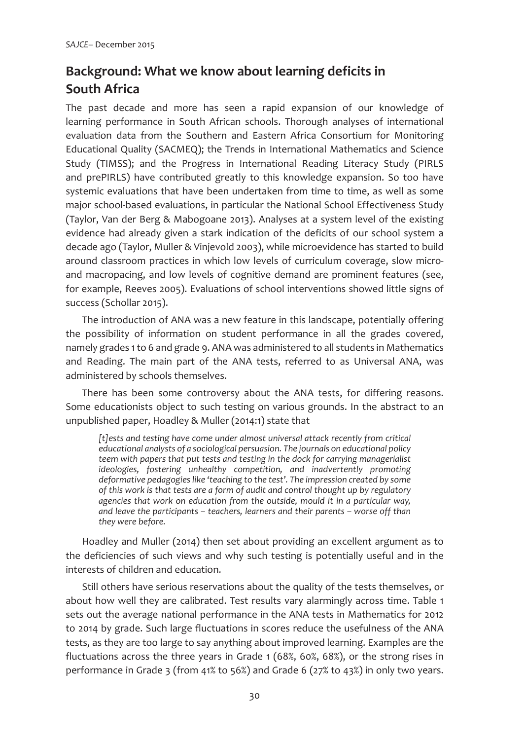# **Background: What we know about learning deficits in South Africa**

The past decade and more has seen a rapid expansion of our knowledge of learning performance in South African schools. Thorough analyses of international evaluation data from the Southern and Eastern Africa Consortium for Monitoring Educational Quality (SACMEQ); the Trends in International Mathematics and Science Study (TIMSS); and the Progress in International Reading Literacy Study (PIRLS and prePIRLS) have contributed greatly to this knowledge expansion. So too have systemic evaluations that have been undertaken from time to time, as well as some major school-based evaluations, in particular the National School Effectiveness Study (Taylor, Van der Berg & Mabogoane 2013). Analyses at a system level of the existing evidence had already given a stark indication of the deficits of our school system a decade ago (Taylor, Muller & Vinjevold 2003), while microevidence has started to build around classroom practices in which low levels of curriculum coverage, slow microand macropacing, and low levels of cognitive demand are prominent features (see, for example, Reeves 2005). Evaluations of school interventions showed little signs of success (Schollar 2015).

The introduction of ANA was a new feature in this landscape, potentially offering the possibility of information on student performance in all the grades covered, namely grades 1 to 6 and grade 9. ANA was administered to all students in Mathematics and Reading. The main part of the ANA tests, referred to as Universal ANA, was administered by schools themselves.

There has been some controversy about the ANA tests, for differing reasons. Some educationists object to such testing on various grounds. In the abstract to an unpublished paper, Hoadley & Muller (2014:1) state that

*[t]ests and testing have come under almost universal attack recently from critical educational analysts of a sociological persuasion. The journals on educational policy teem with papers that put tests and testing in the dock for carrying managerialist ideologies, fostering unhealthy competition, and inadvertently promoting deformative pedagogies like 'teaching to the test'. The impression created by some of this work is that tests are a form of audit and control thought up by regulatory agencies that work on education from the outside, mould it in a particular way, and leave the participants – teachers, learners and their parents – worse off than they were before.* 

Hoadley and Muller (2014) then set about providing an excellent argument as to the deficiencies of such views and why such testing is potentially useful and in the interests of children and education.

Still others have serious reservations about the quality of the tests themselves, or about how well they are calibrated. Test results vary alarmingly across time. Table 1 sets out the average national performance in the ANA tests in Mathematics for 2012 to 2014 by grade. Such large fluctuations in scores reduce the usefulness of the ANA tests, as they are too large to say anything about improved learning. Examples are the fluctuations across the three years in Grade 1 (68%, 60%, 68%), or the strong rises in performance in Grade 3 (from 41% to 56%) and Grade 6 (27% to 43%) in only two years.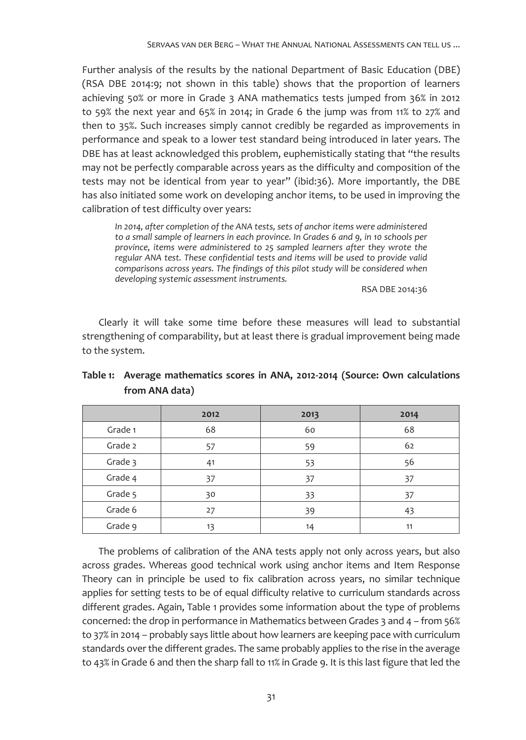Further analysis of the results by the national Department of Basic Education (DBE) (RSA DBE 2014:9; not shown in this table) shows that the proportion of learners achieving 50% or more in Grade 3 ANA mathematics tests jumped from 36% in 2012 to 59% the next year and 65% in 2014; in Grade 6 the jump was from 11% to 27% and then to 35%. Such increases simply cannot credibly be regarded as improvements in performance and speak to a lower test standard being introduced in later years. The DBE has at least acknowledged this problem, euphemistically stating that "the results may not be perfectly comparable across years as the difficulty and composition of the tests may not be identical from year to year" (ibid:36). More importantly, the DBE has also initiated some work on developing anchor items, to be used in improving the calibration of test difficulty over years:

*In 2014, after completion of the ANA tests, sets of anchor items were administered to a small sample of learners in each province. In Grades 6 and 9, in 10 schools per province, items were administered to 25 sampled learners after they wrote the regular ANA test. These confidential tests and items will be used to provide valid comparisons across years. The findings of this pilot study will be considered when developing systemic assessment instruments.*

RSA DBE 2014:36

Clearly it will take some time before these measures will lead to substantial strengthening of comparability, but at least there is gradual improvement being made to the system.

|         | 2012 | 2013 | 2014 |
|---------|------|------|------|
| Grade 1 | 68   | 60   | 68   |
| Grade 2 | 57   | 59   | 62   |
| Grade 3 | 41   | 53   | 56   |
| Grade 4 | 37   | 37   | 37   |
| Grade 5 | 30   | 33   | 37   |
| Grade 6 | 27   | 39   | 43   |
| Grade 9 | 13   | 14   | 11   |

**Table 1: Average mathematics scores in ANA, 2012-2014 (Source: Own calculations from ANA data)**

The problems of calibration of the ANA tests apply not only across years, but also across grades. Whereas good technical work using anchor items and Item Response Theory can in principle be used to fix calibration across years, no similar technique applies for setting tests to be of equal difficulty relative to curriculum standards across different grades. Again, Table 1 provides some information about the type of problems concerned: the drop in performance in Mathematics between Grades 3 and 4 – from 56% to 37% in 2014 – probably says little about how learners are keeping pace with curriculum standards over the different grades. The same probably applies to the rise in the average to 43% in Grade 6 and then the sharp fall to 11% in Grade 9. It is this last figure that led the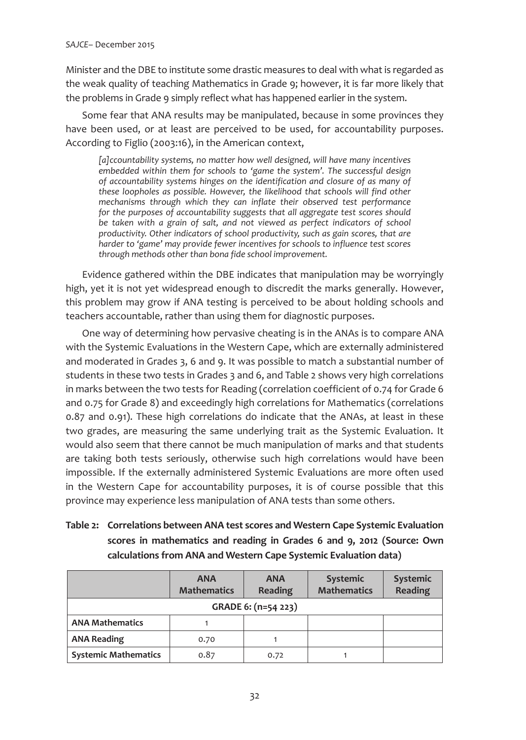Minister and the DBE to institute some drastic measures to deal with what is regarded as the weak quality of teaching Mathematics in Grade 9; however, it is far more likely that the problems in Grade 9 simply reflect what has happened earlier in the system.

Some fear that ANA results may be manipulated, because in some provinces they have been used, or at least are perceived to be used, for accountability purposes. According to Figlio (2003:16), in the American context,

[a]ccountability systems, no matter how well designed, will have many incentives *embedded within them for schools to 'game the system'. The successful design of accountability systems hinges on the identification and closure of as many of these loopholes as possible. However, the likelihood that schools will find other mechanisms through which they can inflate their observed test performance for the purposes of accountability suggests that all aggregate test scores should*  be taken with a grain of salt, and not viewed as perfect indicators of school *productivity. Other indicators of school productivity, such as gain scores, that are harder to 'game' may provide fewer incentives for schools to influence test scores through methods other than bona fide school improvement.*

Evidence gathered within the DBE indicates that manipulation may be worryingly high, yet it is not yet widespread enough to discredit the marks generally. However, this problem may grow if ANA testing is perceived to be about holding schools and teachers accountable, rather than using them for diagnostic purposes.

One way of determining how pervasive cheating is in the ANAs is to compare ANA with the Systemic Evaluations in the Western Cape, which are externally administered and moderated in Grades 3, 6 and 9. It was possible to match a substantial number of students in these two tests in Grades 3 and 6, and Table 2 shows very high correlations in marks between the two tests for Reading (correlation coefficient of 0.74 for Grade 6 and 0.75 for Grade 8) and exceedingly high correlations for Mathematics (correlations 0.87 and 0.91). These high correlations do indicate that the ANAs, at least in these two grades, are measuring the same underlying trait as the Systemic Evaluation. It would also seem that there cannot be much manipulation of marks and that students are taking both tests seriously, otherwise such high correlations would have been impossible. If the externally administered Systemic Evaluations are more often used in the Western Cape for accountability purposes, it is of course possible that this province may experience less manipulation of ANA tests than some others.

| Table 2: Correlations between ANA test scores and Western Cape Systemic Evaluation |
|------------------------------------------------------------------------------------|
| scores in mathematics and reading in Grades 6 and 9, 2012 (Source: Own             |
| calculations from ANA and Western Cape Systemic Evaluation data)                   |

|                             | <b>ANA</b><br><b>Mathematics</b> | <b>ANA</b><br><b>Reading</b> | <b>Systemic</b><br><b>Mathematics</b> | Systemic<br>Reading |  |  |  |  |
|-----------------------------|----------------------------------|------------------------------|---------------------------------------|---------------------|--|--|--|--|
| GRADE 6: (n=54 223)         |                                  |                              |                                       |                     |  |  |  |  |
| <b>ANA Mathematics</b>      |                                  |                              |                                       |                     |  |  |  |  |
| <b>ANA Reading</b>          | 0.70                             |                              |                                       |                     |  |  |  |  |
| <b>Systemic Mathematics</b> | 0.87                             | 0.72                         |                                       |                     |  |  |  |  |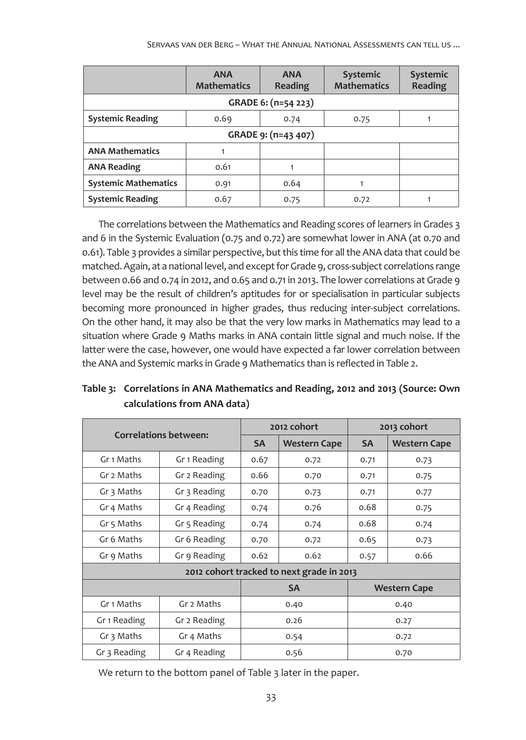|                             | <b>ANA</b><br><b>Mathematics</b> | <b>ANA</b><br><b>Reading</b> | <b>Systemic</b><br><b>Mathematics</b> | Systemic<br><b>Reading</b> |  |  |  |  |
|-----------------------------|----------------------------------|------------------------------|---------------------------------------|----------------------------|--|--|--|--|
| GRADE 6: (n=54 223)         |                                  |                              |                                       |                            |  |  |  |  |
| <b>Systemic Reading</b>     | 0.69                             | 0.74                         | 0.75                                  |                            |  |  |  |  |
| GRADE 9: (n=43 407)         |                                  |                              |                                       |                            |  |  |  |  |
| <b>ANA Mathematics</b>      |                                  |                              |                                       |                            |  |  |  |  |
| <b>ANA Reading</b>          | 0.61                             |                              |                                       |                            |  |  |  |  |
| <b>Systemic Mathematics</b> | 0.91                             | 0.64                         | 1                                     |                            |  |  |  |  |
| <b>Systemic Reading</b>     | 0.67                             | 0.75                         | 0.72                                  |                            |  |  |  |  |

The correlations between the Mathematics and Reading scores of learners in Grades 3 and 6 in the Systemic Evaluation (0.75 and 0.72) are somewhat lower in ANA (at 0.70 and 0.61). Table 3 provides a similar perspective, but this time for all the ANA data that could be matched. Again, at a national level, and except for Grade 9, cross-subject correlations range between 0.66 and 0.74 in 2012, and 0.65 and 0.71 in 2013. The lower correlations at Grade 9 level may be the result of children's aptitudes for or specialisation in particular subjects becoming more pronounced in higher grades, thus reducing inter-subject correlations. On the other hand, it may also be that the very low marks in Mathematics may lead to a situation where Grade 9 Maths marks in ANA contain little signal and much noise. If the latter were the case, however, one would have expected a far lower correlation between the ANA and Systemic marks in Grade 9 Mathematics than is reflected in Table 2.

**Table 3: Correlations in ANA Mathematics and Reading, 2012 and 2013 (Source: Own calculations from ANA data)**

| <b>Correlations between:</b>              |                         | 2012 cohort |                     | 2013 cohort |                     |
|-------------------------------------------|-------------------------|-------------|---------------------|-------------|---------------------|
|                                           |                         | <b>SA</b>   | <b>Western Cape</b> | <b>SA</b>   | <b>Western Cape</b> |
| Gr <sub>1</sub> Maths                     | Gr 1 Reading            | 0.67        | 0.72                | 0.71        | 0.73                |
| Gr 2 Maths                                | Gr 2 Reading            | 0.66        | 0.70                | 0.71        | 0.75                |
| Gr <sub>3</sub> <i>Maths</i>              | Gr 3 Reading            | 0.70        | 0.73                | 0.71        | 0.77                |
| Gr 4 Maths                                | Gr 4 Reading            | 0.74        | 0.76                | 0.68        | 0.75                |
| Gr 5 Maths                                | Gr <sub>5</sub> Reading | 0.74        | 0.74                | 0.68        | 0.74                |
| Gr 6 Maths                                | Gr 6 Reading            | 0.70        | 0.72                | 0.65        | 0.73                |
| Gr 9 Maths                                | Gr 9 Reading            | 0.62        | 0.62                | 0.57        | 0.66                |
| 2012 cohort tracked to next grade in 2013 |                         |             |                     |             |                     |
|                                           |                         |             | <b>SA</b>           |             | <b>Western Cape</b> |
| Gr <sub>1</sub> Maths                     | Gr 2 Maths              | 0.40        |                     | 0.40        |                     |
| Gr 1 Reading                              | Gr 2 Reading            | 0.26        |                     | 0.27        |                     |
| Gr 3 Maths                                | Gr 4 Maths              | 0.54        |                     |             | 0.72                |
| Gr 3 Reading                              | Gr 4 Reading            | 0.56        |                     | 0.70        |                     |

We return to the bottom panel of Table 3 later in the paper.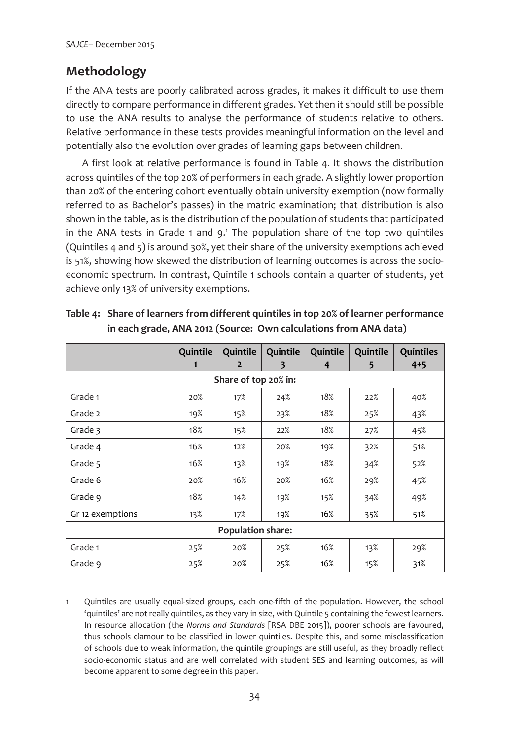# **Methodology**

If the ANA tests are poorly calibrated across grades, it makes it difficult to use them directly to compare performance in different grades. Yet then it should still be possible to use the ANA results to analyse the performance of students relative to others. Relative performance in these tests provides meaningful information on the level and potentially also the evolution over grades of learning gaps between children.

A first look at relative performance is found in Table 4. It shows the distribution across quintiles of the top 20% of performers in each grade. A slightly lower proportion than 20% of the entering cohort eventually obtain university exemption (now formally referred to as Bachelor's passes) in the matric examination; that distribution is also shown in the table, as is the distribution of the population of students that participated in the ANA tests in Grade 1 and 9.<sup>1</sup> The population share of the top two quintiles (Quintiles 4 and 5) is around 30%, yet their share of the university exemptions achieved is 51%, showing how skewed the distribution of learning outcomes is across the socioeconomic spectrum. In contrast, Quintile 1 schools contain a quarter of students, yet achieve only 13% of university exemptions.

|                          | Quintile<br>1 | Quintile<br>$\overline{2}$ | Quintile<br>3 | Quintile<br>4 | Quintile<br>5 | Quintiles<br>$4 + 5$ |
|--------------------------|---------------|----------------------------|---------------|---------------|---------------|----------------------|
|                          |               | Share of top 20% in:       |               |               |               |                      |
| Grade 1                  | 20%           | 17%                        | 24%           | 18%           | 22%           | 40%                  |
| Grade 2                  | 19%           | 15%                        | 23%           | 18%           | 25%           | 43%                  |
| Grade 3                  | 18%           | 15%                        | 22%           | 18%           | 27%           | 45%                  |
| Grade 4                  | 16%           | 12%                        | 20%           | 19%           | 32%           | 51%                  |
| Grade 5                  | 16%           | 13%                        | 19%           | 18%           | 34%           | 52%                  |
| Grade 6                  | 20%           | 16%                        | 20%           | 16%           | 29%           | 45%                  |
| Grade 9                  | 18%           | 14%                        | 19%           | 15%           | 34%           | 49%                  |
| Gr 12 exemptions         | 13%           | 17%                        | 19%           | 16%           | 35%           | 51%                  |
| <b>Population share:</b> |               |                            |               |               |               |                      |
| Grade 1                  | 25%           | 20%                        | 25%           | 16%           | 13%           | 29%                  |
| Grade 9                  | 25%           | 20%                        | 25%           | 16%           | 15%           | 31%                  |

**Table 4: Share of learners from different quintiles in top 20% of learner performance in each grade, ANA 2012 (Source: Own calculations from ANA data)**

1 Quintiles are usually equal-sized groups, each one-fifth of the population. However, the school 'quintiles' are not really quintiles, as they vary in size, with Quintile 5 containing the fewest learners. In resource allocation (the *Norms and Standards* [RSA DBE 2015]), poorer schools are favoured, thus schools clamour to be classified in lower quintiles. Despite this, and some misclassification of schools due to weak information, the quintile groupings are still useful, as they broadly reflect socio-economic status and are well correlated with student SES and learning outcomes, as will become apparent to some degree in this paper.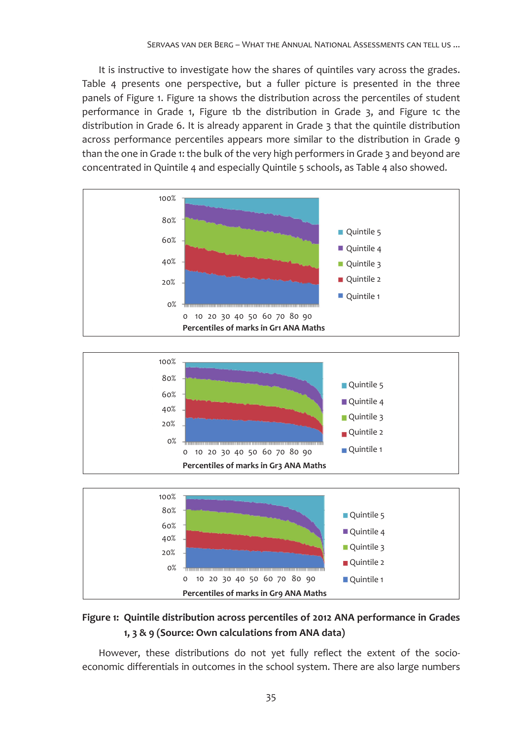It is instructive to investigate how the shares of quintiles vary across the grades. Table 4 presents one perspective, but a fuller picture is presented in the three panels of Figure 1. Figure 1a shows the distribution across the percentiles of student performance in Grade 1, Figure 1b the distribution in Grade 3, and Figure 1c the distribution in Grade 6. It is already apparent in Grade 3 that the quintile distribution across performance percentiles appears more similar to the distribution in Grade 9 than the one in Grade 1: the bulk of the very high performers in Grade 3 and beyond are concentrated in Quintile 4 and especially Quintile 5 schools, as Table 4 also showed.







#### **Figure 1: Quintile distribution across percentiles of 2012 ANA performance in Grades 1, 3 & 9 (Source: Own calculations from ANA data)**

However, these distributions do not yet fully reflect the extent of the socioeconomic differentials in outcomes in the school system. There are also large numbers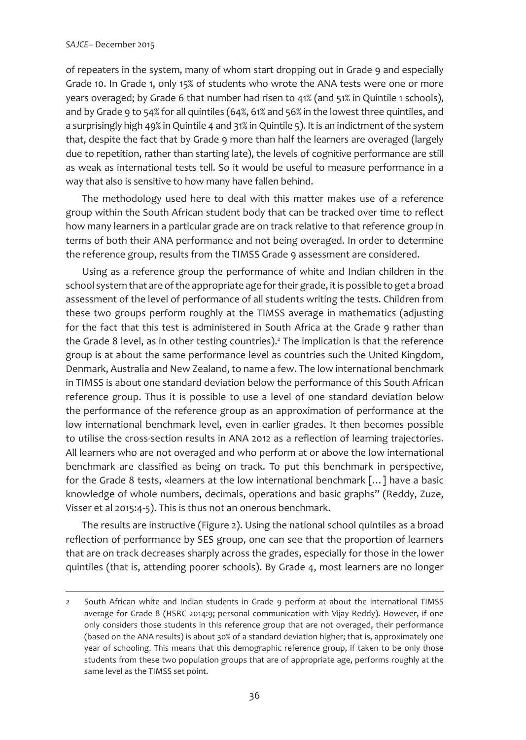of repeaters in the system, many of whom start dropping out in Grade 9 and especially Grade 10. In Grade 1, only 15% of students who wrote the ANA tests were one or more years overaged; by Grade 6 that number had risen to 41% (and 51% in Quintile 1 schools), and by Grade 9 to 54% for all quintiles (64%, 61% and 56% in the lowest three quintiles, and a surprisingly high 49% in Quintile 4 and 31% in Quintile 5). It is an indictment of the system that, despite the fact that by Grade 9 more than half the learners are overaged (largely due to repetition, rather than starting late), the levels of cognitive performance are still as weak as international tests tell. So it would be useful to measure performance in a way that also is sensitive to how many have fallen behind.

The methodology used here to deal with this matter makes use of a reference group within the South African student body that can be tracked over time to reflect how many learners in a particular grade are on track relative to that reference group in terms of both their ANA performance and not being overaged. In order to determine the reference group, results from the TIMSS Grade 9 assessment are considered.

Using as a reference group the performance of white and Indian children in the school system that are of the appropriate age for their grade, it is possible to get a broad assessment of the level of performance of all students writing the tests. Children from these two groups perform roughly at the TIMSS average in mathematics (adjusting for the fact that this test is administered in South Africa at the Grade 9 rather than the Grade 8 level, as in other testing countries).<sup>2</sup> The implication is that the reference group is at about the same performance level as countries such the United Kingdom, Denmark, Australia and New Zealand, to name a few. The low international benchmark in TIMSS is about one standard deviation below the performance of this South African reference group. Thus it is possible to use a level of one standard deviation below the performance of the reference group as an approximation of performance at the low international benchmark level, even in earlier grades. It then becomes possible to utilise the cross-section results in ANA 2012 as a reflection of learning trajectories. All learners who are not overaged and who perform at or above the low international benchmark are classified as being on track. To put this benchmark in perspective, for the Grade 8 tests, «learners at the low international benchmark […] have a basic knowledge of whole numbers, decimals, operations and basic graphs" (Reddy, Zuze, Visser et al 2015:4-5). This is thus not an onerous benchmark.

The results are instructive (Figure 2). Using the national school quintiles as a broad reflection of performance by SES group, one can see that the proportion of learners that are on track decreases sharply across the grades, especially for those in the lower quintiles (that is, attending poorer schools). By Grade 4, most learners are no longer

<sup>2</sup> South African white and Indian students in Grade 9 perform at about the international TIMSS average for Grade 8 (HSRC 2014:9; personal communication with Vijay Reddy). However, if one only considers those students in this reference group that are not overaged, their performance (based on the ANA results) is about 30% of a standard deviation higher; that is, approximately one year of schooling. This means that this demographic reference group, if taken to be only those students from these two population groups that are of appropriate age, performs roughly at the same level as the TIMSS set point.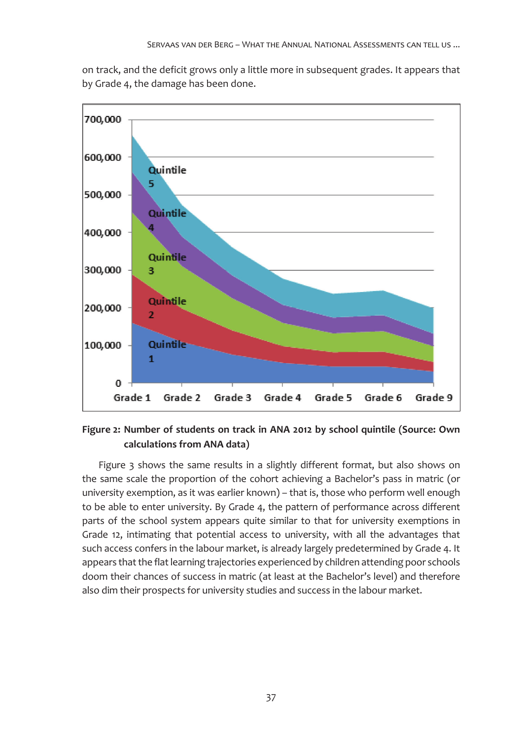on track, and the deficit grows only a little more in subsequent grades. It appears that by Grade 4, the damage has been done.



#### **Figure 2: Number of students on track in ANA 2012 by school quintile (Source: Own calculations from ANA data)**

Figure 3 shows the same results in a slightly different format, but also shows on the same scale the proportion of the cohort achieving a Bachelor's pass in matric (or university exemption, as it was earlier known) – that is, those who perform well enough to be able to enter university. By Grade 4, the pattern of performance across different parts of the school system appears quite similar to that for university exemptions in Grade 12, intimating that potential access to university, with all the advantages that such access confers in the labour market, is already largely predetermined by Grade 4. It appears that the flat learning trajectories experienced by children attending poor schools doom their chances of success in matric (at least at the Bachelor's level) and therefore also dim their prospects for university studies and success in the labour market.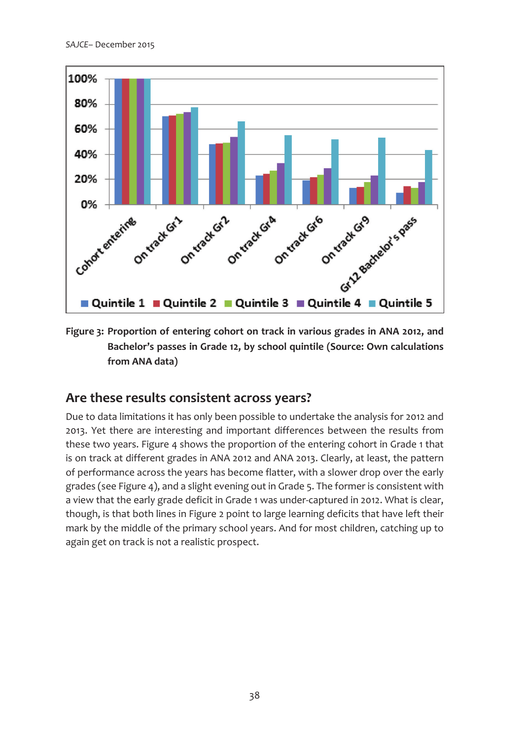

**Figure 3: Proportion of entering cohort on track in various grades in ANA 2012, and Bachelor's passes in Grade 12, by school quintile (Source: Own calculations from ANA data)**

# **Are these results consistent across years?**

Due to data limitations it has only been possible to undertake the analysis for 2012 and 2013. Yet there are interesting and important differences between the results from these two years. Figure 4 shows the proportion of the entering cohort in Grade 1 that is on track at different grades in ANA 2012 and ANA 2013. Clearly, at least, the pattern of performance across the years has become flatter, with a slower drop over the early grades (see Figure 4), and a slight evening out in Grade 5. The former is consistent with a view that the early grade deficit in Grade 1 was under-captured in 2012. What is clear, though, is that both lines in Figure 2 point to large learning deficits that have left their mark by the middle of the primary school years. And for most children, catching up to again get on track is not a realistic prospect.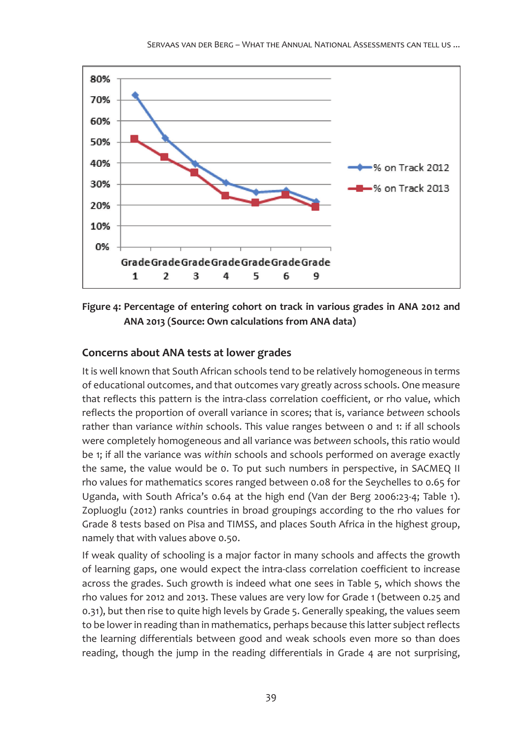

**Figure 4: Percentage of entering cohort on track in various grades in ANA 2012 and ANA 2013 (Source: Own calculations from ANA data)**

#### **Concerns about ANA tests at lower grades**

It is well known that South African schools tend to be relatively homogeneous in terms of educational outcomes, and that outcomes vary greatly across schools. One measure that reflects this pattern is the intra-class correlation coefficient, or rho value, which reflects the proportion of overall variance in scores; that is, variance *between* schools rather than variance *within* schools. This value ranges between 0 and 1: if all schools were completely homogeneous and all variance was *between* schools, this ratio would be 1; if all the variance was *within* schools and schools performed on average exactly the same, the value would be 0. To put such numbers in perspective, in SACMEQ II rho values for mathematics scores ranged between 0.08 for the Seychelles to 0.65 for Uganda, with South Africa's 0.64 at the high end (Van der Berg 2006:23-4; Table 1). Zopluoglu (2012) ranks countries in broad groupings according to the rho values for Grade 8 tests based on Pisa and TIMSS, and places South Africa in the highest group, namely that with values above 0.50.

If weak quality of schooling is a major factor in many schools and affects the growth of learning gaps, one would expect the intra-class correlation coefficient to increase across the grades. Such growth is indeed what one sees in Table 5, which shows the rho values for 2012 and 2013. These values are very low for Grade 1 (between 0.25 and 0.31), but then rise to quite high levels by Grade 5. Generally speaking, the values seem to be lower in reading than in mathematics, perhaps because this latter subject reflects the learning differentials between good and weak schools even more so than does reading, though the jump in the reading differentials in Grade 4 are not surprising,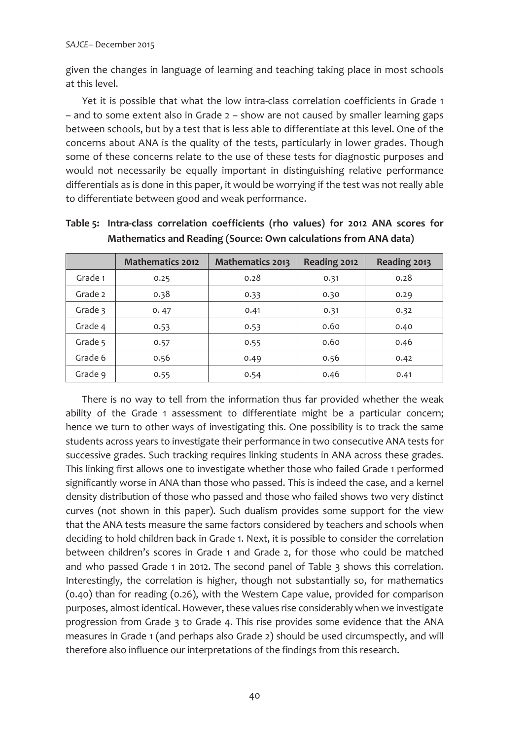given the changes in language of learning and teaching taking place in most schools at this level.

Yet it is possible that what the low intra-class correlation coefficients in Grade 1 – and to some extent also in Grade 2 – show are not caused by smaller learning gaps between schools, but by a test that is less able to differentiate at this level. One of the concerns about ANA is the quality of the tests, particularly in lower grades. Though some of these concerns relate to the use of these tests for diagnostic purposes and would not necessarily be equally important in distinguishing relative performance differentials as is done in this paper, it would be worrying if the test was not really able to differentiate between good and weak performance.

|         | <b>Mathematics 2012</b> | <b>Mathematics 2013</b> | Reading 2012 | Reading 2013 |
|---------|-------------------------|-------------------------|--------------|--------------|
| Grade 1 | 0.25                    | 0.28                    | 0.31         | 0.28         |
| Grade 2 | 0.38                    | 0.33                    | 0.30         | 0.29         |
| Grade 3 | 0.47                    | 0.41                    | 0.31         | 0.32         |
| Grade 4 | 0.53                    | 0.53                    | 0.60         | 0.40         |
| Grade 5 | 0.57                    | 0.55                    | 0.60         | 0.46         |
| Grade 6 | 0.56                    | 0.49                    | 0.56         | 0.42         |
| Grade 9 | 0.55                    | 0.54                    | 0.46         | 0.41         |

**Table 5: Intra-class correlation coefficients (rho values) for 2012 ANA scores for Mathematics and Reading (Source: Own calculations from ANA data)**

There is no way to tell from the information thus far provided whether the weak ability of the Grade 1 assessment to differentiate might be a particular concern; hence we turn to other ways of investigating this. One possibility is to track the same students across years to investigate their performance in two consecutive ANA tests for successive grades. Such tracking requires linking students in ANA across these grades. This linking first allows one to investigate whether those who failed Grade 1 performed significantly worse in ANA than those who passed. This is indeed the case, and a kernel density distribution of those who passed and those who failed shows two very distinct curves (not shown in this paper). Such dualism provides some support for the view that the ANA tests measure the same factors considered by teachers and schools when deciding to hold children back in Grade 1. Next, it is possible to consider the correlation between children's scores in Grade 1 and Grade 2, for those who could be matched and who passed Grade 1 in 2012. The second panel of Table 3 shows this correlation. Interestingly, the correlation is higher, though not substantially so, for mathematics (0.40) than for reading (0.26), with the Western Cape value, provided for comparison purposes, almost identical. However, these values rise considerably when we investigate progression from Grade 3 to Grade 4. This rise provides some evidence that the ANA measures in Grade 1 (and perhaps also Grade 2) should be used circumspectly, and will therefore also influence our interpretations of the findings from this research.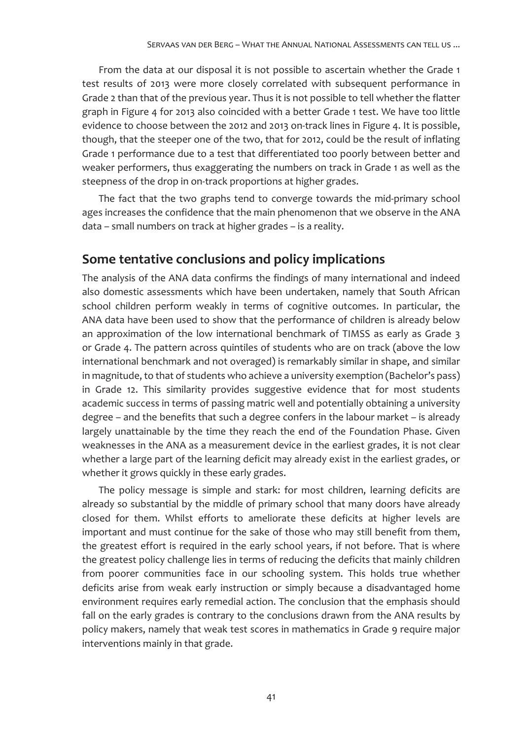From the data at our disposal it is not possible to ascertain whether the Grade 1 test results of 2013 were more closely correlated with subsequent performance in Grade 2 than that of the previous year. Thus it is not possible to tell whether the flatter graph in Figure 4 for 2013 also coincided with a better Grade 1 test. We have too little evidence to choose between the 2012 and 2013 on-track lines in Figure 4. It is possible, though, that the steeper one of the two, that for 2012, could be the result of inflating Grade 1 performance due to a test that differentiated too poorly between better and weaker performers, thus exaggerating the numbers on track in Grade 1 as well as the steepness of the drop in on-track proportions at higher grades.

The fact that the two graphs tend to converge towards the mid-primary school ages increases the confidence that the main phenomenon that we observe in the ANA data – small numbers on track at higher grades – is a reality.

## **Some tentative conclusions and policy implications**

The analysis of the ANA data confirms the findings of many international and indeed also domestic assessments which have been undertaken, namely that South African school children perform weakly in terms of cognitive outcomes. In particular, the ANA data have been used to show that the performance of children is already below an approximation of the low international benchmark of TIMSS as early as Grade 3 or Grade 4. The pattern across quintiles of students who are on track (above the low international benchmark and not overaged) is remarkably similar in shape, and similar in magnitude, to that of students who achieve a university exemption (Bachelor's pass) in Grade 12. This similarity provides suggestive evidence that for most students academic success in terms of passing matric well and potentially obtaining a university degree – and the benefits that such a degree confers in the labour market – is already largely unattainable by the time they reach the end of the Foundation Phase. Given weaknesses in the ANA as a measurement device in the earliest grades, it is not clear whether a large part of the learning deficit may already exist in the earliest grades, or whether it grows quickly in these early grades.

The policy message is simple and stark: for most children, learning deficits are already so substantial by the middle of primary school that many doors have already closed for them. Whilst efforts to ameliorate these deficits at higher levels are important and must continue for the sake of those who may still benefit from them, the greatest effort is required in the early school years, if not before. That is where the greatest policy challenge lies in terms of reducing the deficits that mainly children from poorer communities face in our schooling system. This holds true whether deficits arise from weak early instruction or simply because a disadvantaged home environment requires early remedial action. The conclusion that the emphasis should fall on the early grades is contrary to the conclusions drawn from the ANA results by policy makers, namely that weak test scores in mathematics in Grade 9 require major interventions mainly in that grade.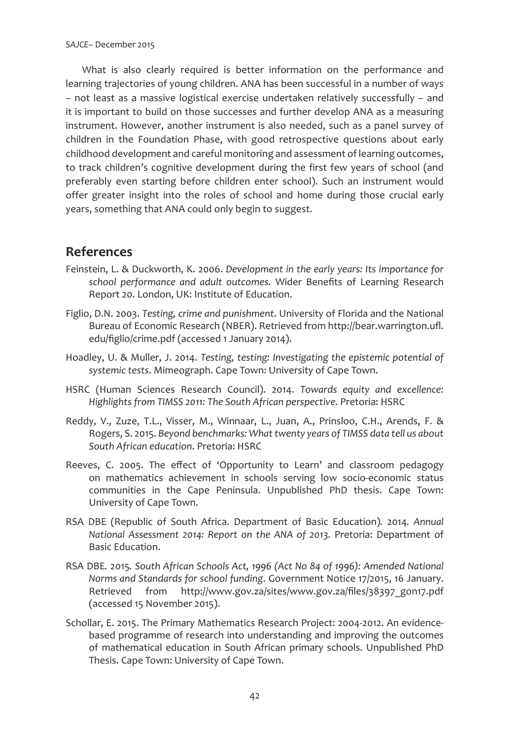What is also clearly required is better information on the performance and learning trajectories of young children. ANA has been successful in a number of ways – not least as a massive logistical exercise undertaken relatively successfully – and it is important to build on those successes and further develop ANA as a measuring instrument. However, another instrument is also needed, such as a panel survey of children in the Foundation Phase, with good retrospective questions about early childhood development and careful monitoring and assessment of learning outcomes, to track children's cognitive development during the first few years of school (and preferably even starting before children enter school). Such an instrument would offer greater insight into the roles of school and home during those crucial early years, something that ANA could only begin to suggest.

### **References**

- Feinstein, L. & Duckworth, K. 2006. *Development in the early years: Its importance for school performance and adult outcomes.* Wider Benefits of Learning Research Report 20. London, UK: Institute of Education.
- Figlio, D.N. 2003. *Testing, crime and punishment*. University of Florida and the National Bureau of Economic Research (NBER). Retrieved from http://bear.warrington.ufl. edu/figlio/crime.pdf (accessed 1 January 2014).
- Hoadley, U. & Muller, J. 2014. *Testing, testing: Investigating the epistemic potential of systemic tests*. Mimeograph. Cape Town: University of Cape Town.
- HSRC (Human Sciences Research Council). 2014. *Towards equity and excellence: Highlights from TIMSS 2011: The South African perspective*. Pretoria: HSRC
- Reddy, V., Zuze, T.L., Visser, M., Winnaar, L., Juan, A., Prinsloo, C.H., Arends, F. & Rogers, S. 2015. *Beyond benchmarks: What twenty years of TIMSS data tell us about South African education*. Pretoria: HSRC
- Reeves, C. 2005. The effect of 'Opportunity to Learn' and classroom pedagogy on mathematics achievement in schools serving low socio-economic status communities in the Cape Peninsula. Unpublished PhD thesis. Cape Town: University of Cape Town.
- RSA DBE (Republic of South Africa. Department of Basic Education)*.* 2014*. Annual National Assessment 2014: Report on the ANA of 2013.* Pretoria: Department of Basic Education.
- RSA DBE*.* 2015*. South African Schools Act, 1996 (Act No 84 of 1996): Amended National Norms and Standards for school funding*. Government Notice 17/2015, 16 January. Retrieved from http://www.gov.za/sites/www.gov.za/files/38397\_gon17.pdf (accessed 15 November 2015).
- Schollar, E. 2015. The Primary Mathematics Research Project: 2004-2012. An evidencebased programme of research into understanding and improving the outcomes of mathematical education in South African primary schools. Unpublished PhD Thesis. Cape Town: University of Cape Town.